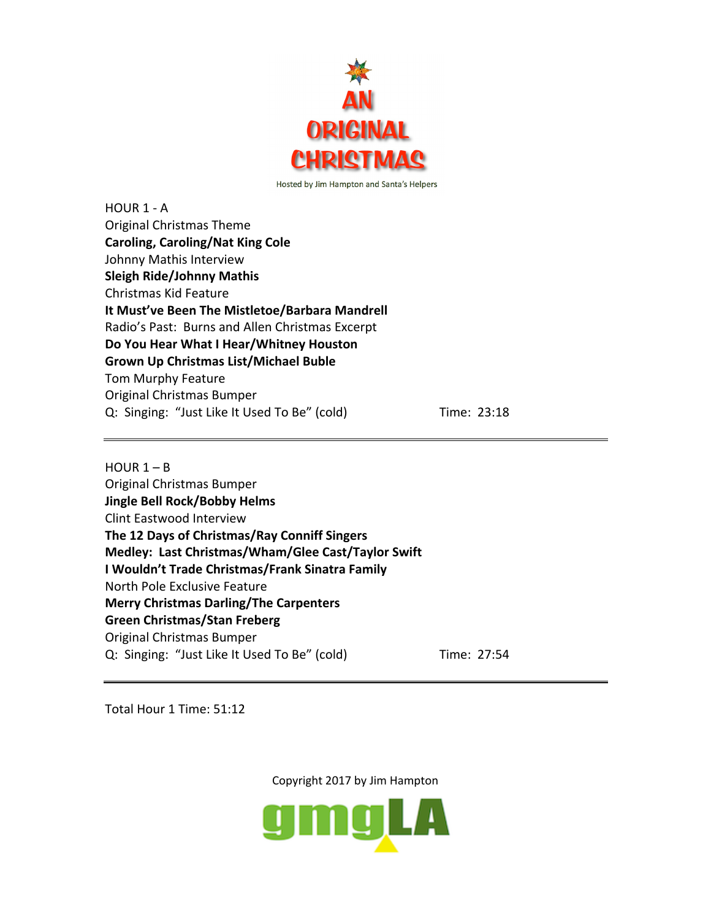

HOUR 1 - A Original Christmas Theme **Caroling, Caroling/Nat King Cole** Johnny Mathis Interview **Sleigh Ride/Johnny Mathis** Christmas Kid Feature **It Must've Been The Mistletoe/Barbara Mandrell** Radio's Past: Burns and Allen Christmas Excerpt **Do You Hear What I Hear/Whitney Houston Grown Up Christmas List/Michael Buble** Tom Murphy Feature Original Christmas Bumper Q: Singing: "Just Like It Used To Be" (cold) Time: 23:18

 $HOUR 1 - B$ Original Christmas Bumper **Jingle Bell Rock/Bobby Helms** Clint Eastwood Interview **The 12 Days of Christmas/Ray Conniff Singers Medley: Last Christmas/Wham/Glee Cast/Taylor Swift I Wouldn't Trade Christmas/Frank Sinatra Family** North Pole Exclusive Feature **Merry Christmas Darling/The Carpenters Green Christmas/Stan Freberg** Original Christmas Bumper Q: Singing: "Just Like It Used To Be" (cold) Time: 27:54

Total Hour 1 Time: 51:12

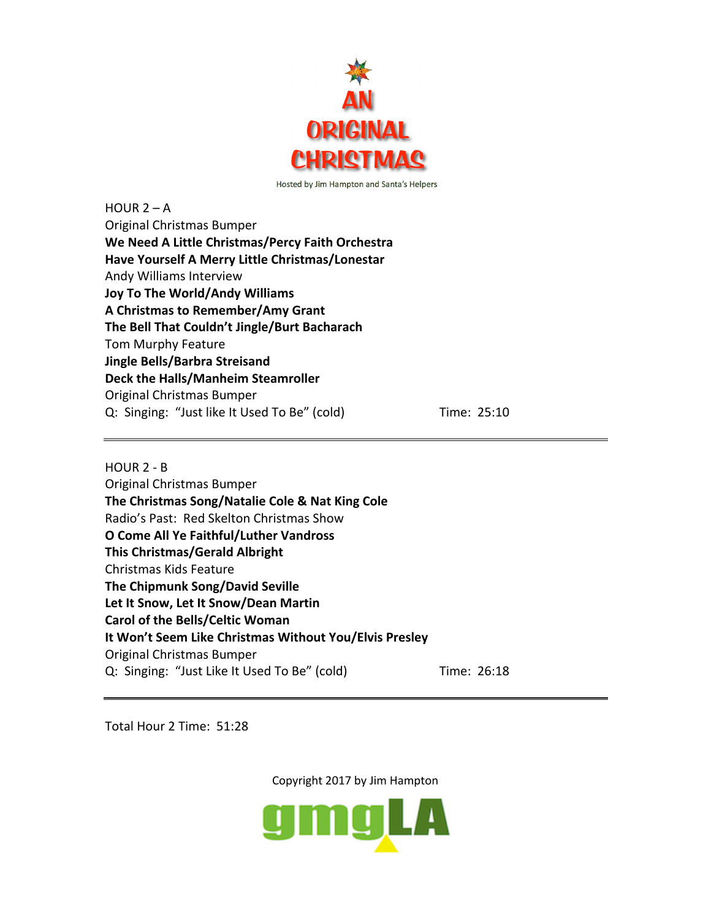

 $HOUR 2 - A$ Original Christmas Bumper **We Need A Little Christmas/Percy Faith Orchestra Have Yourself A Merry Little Christmas/Lonestar** Andy Williams Interview **Joy To The World/Andy Williams A Christmas to Remember/Amy Grant The Bell That Couldn't Jingle/Burt Bacharach** Tom Murphy Feature **Jingle Bells/Barbra Streisand Deck the Halls/Manheim Steamroller** Original Christmas Bumper Q: Singing: "Just like It Used To Be" (cold) Time: 25:10

HOUR 2 - B

Original Christmas Bumper **The Christmas Song/Natalie Cole & Nat King Cole** Radio's Past: Red Skelton Christmas Show **O Come All Ye Faithful/Luther Vandross This Christmas/Gerald Albright** Christmas Kids Feature **The Chipmunk Song/David Seville Let It Snow, Let It Snow/Dean Martin Carol of the Bells/Celtic Woman It Won't Seem Like Christmas Without You/Elvis Presley** Original Christmas Bumper Q: Singing: "Just Like It Used To Be" (cold) Time: 26:18

Total Hour 2 Time: 51:28

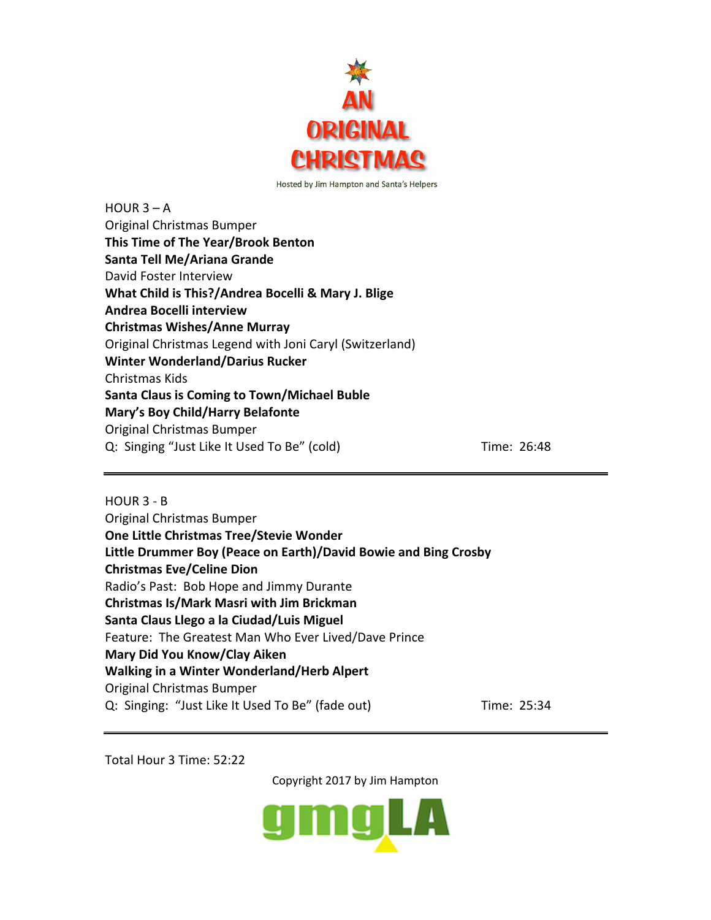

| $HOUR 3 - A$                                            |             |
|---------------------------------------------------------|-------------|
| Original Christmas Bumper                               |             |
| This Time of The Year/Brook Benton                      |             |
| Santa Tell Me/Ariana Grande                             |             |
| David Foster Interview                                  |             |
| What Child is This?/Andrea Bocelli & Mary J. Blige      |             |
| Andrea Bocelli interview                                |             |
| <b>Christmas Wishes/Anne Murray</b>                     |             |
| Original Christmas Legend with Joni Caryl (Switzerland) |             |
| <b>Winter Wonderland/Darius Rucker</b>                  |             |
| Christmas Kids                                          |             |
| <b>Santa Claus is Coming to Town/Michael Buble</b>      |             |
| Mary's Boy Child/Harry Belafonte                        |             |
| Original Christmas Bumper                               |             |
| Q: Singing "Just Like It Used To Be" (cold)             | Time: 26:48 |
|                                                         |             |

HOUR 3 - B Original Christmas Bumper **One Little Christmas Tree/Stevie Wonder Little Drummer Boy (Peace on Earth)/David Bowie and Bing Crosby Christmas Eve/Celine Dion** Radio's Past: Bob Hope and Jimmy Durante **Christmas Is/Mark Masri with Jim Brickman Santa Claus Llego a la Ciudad/Luis Miguel** Feature: The Greatest Man Who Ever Lived/Dave Prince **Mary Did You Know/Clay Aiken Walking in a Winter Wonderland/Herb Alpert** Original Christmas Bumper Q: Singing: "Just Like It Used To Be" (fade out) Time: 25:34

Total Hour 3 Time: 52:22

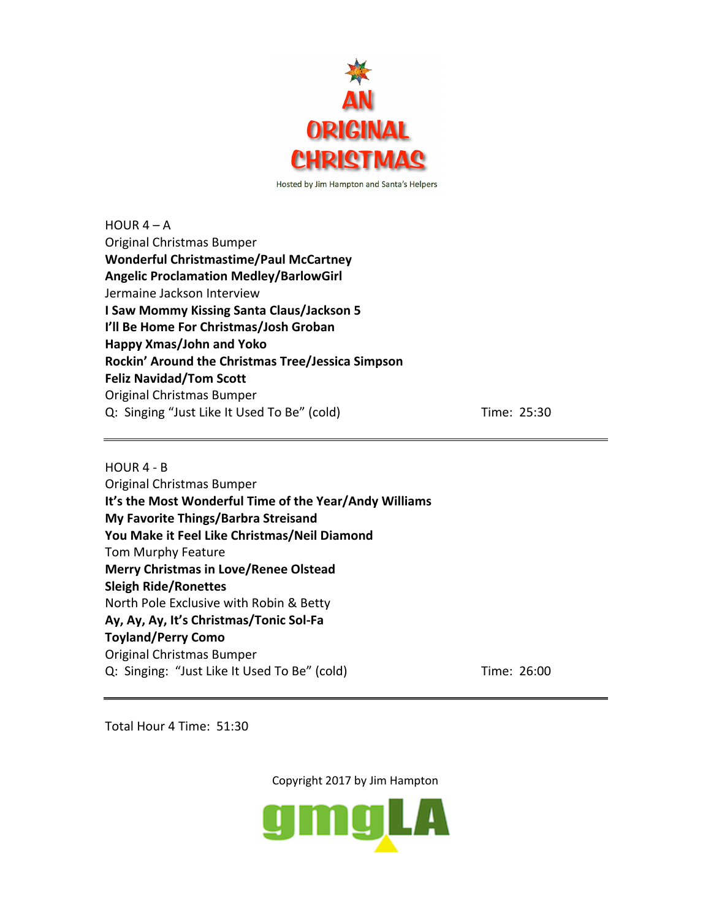

 $HOUR 4 - A$ Original Christmas Bumper **Wonderful Christmastime/Paul McCartney Angelic Proclamation Medley/BarlowGirl** Jermaine Jackson Interview **I Saw Mommy Kissing Santa Claus/Jackson 5 I'll Be Home For Christmas/Josh Groban Happy Xmas/John and Yoko Rockin' Around the Christmas Tree/Jessica Simpson Feliz Navidad/Tom Scott** Original Christmas Bumper Q: Singing "Just Like It Used To Be" (cold) Time: 25:30

HOUR 4 - B Original Christmas Bumper **It's the Most Wonderful Time of the Year/Andy Williams My Favorite Things/Barbra Streisand You Make it Feel Like Christmas/Neil Diamond** Tom Murphy Feature **Merry Christmas in Love/Renee Olstead Sleigh Ride/Ronettes** North Pole Exclusive with Robin & Betty **Ay, Ay, Ay, It's Christmas/Tonic Sol-Fa Toyland/Perry Como** Original Christmas Bumper Q: Singing: "Just Like It Used To Be" (cold) Time: 26:00

Total Hour 4 Time: 51:30

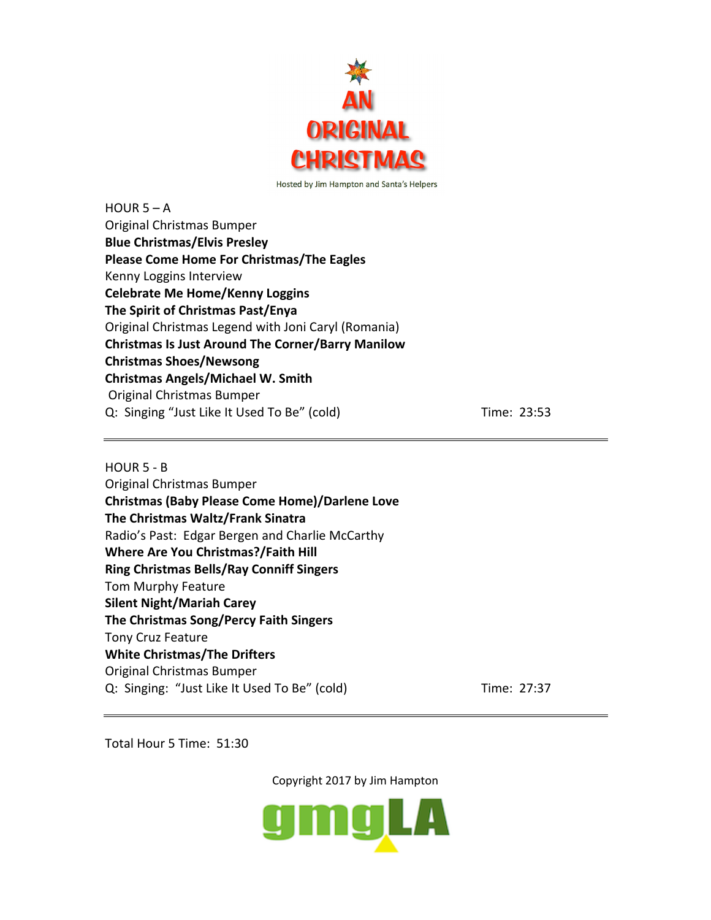

HOUR  $5 - A$ Original Christmas Bumper **Blue Christmas/Elvis Presley Please Come Home For Christmas/The Eagles** Kenny Loggins Interview **Celebrate Me Home/Kenny Loggins The Spirit of Christmas Past/Enya** Original Christmas Legend with Joni Caryl (Romania) **Christmas Is Just Around The Corner/Barry Manilow Christmas Shoes/Newsong Christmas Angels/Michael W. Smith** Original Christmas Bumper Q: Singing "Just Like It Used To Be" (cold) Time: 23:53

## HOUR 5 - B

Original Christmas Bumper **Christmas (Baby Please Come Home)/Darlene Love The Christmas Waltz/Frank Sinatra** Radio's Past: Edgar Bergen and Charlie McCarthy **Where Are You Christmas?/Faith Hill Ring Christmas Bells/Ray Conniff Singers** Tom Murphy Feature **Silent Night/Mariah Carey The Christmas Song/Percy Faith Singers** Tony Cruz Feature **White Christmas/The Drifters** Original Christmas Bumper Q: Singing: "Just Like It Used To Be" (cold) Time: 27:37

Total Hour 5 Time: 51:30

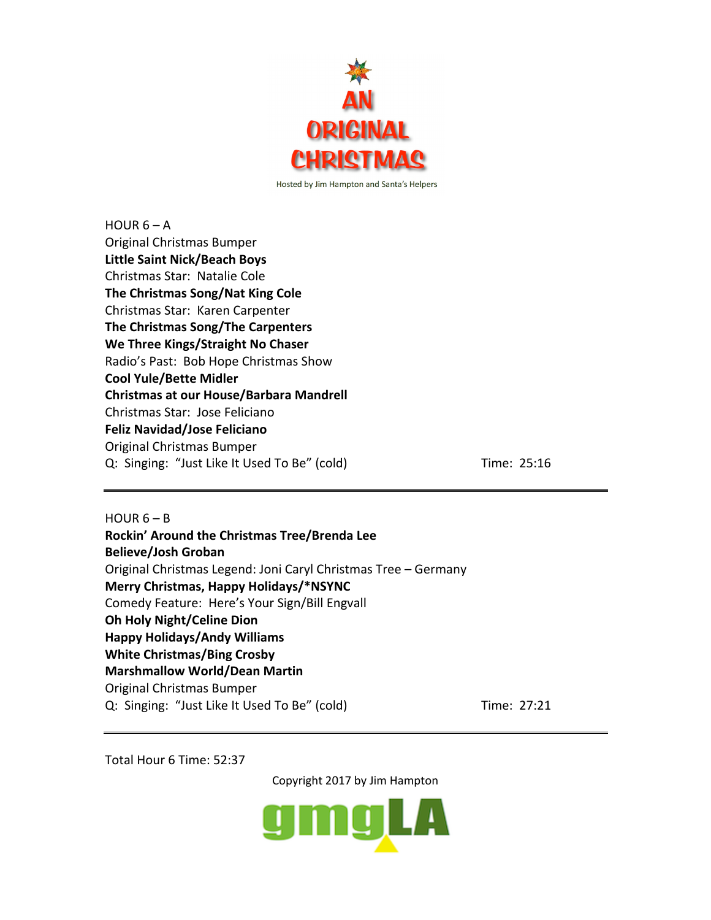

HOUR  $6 - A$ Original Christmas Bumper **Little Saint Nick/Beach Boys** Christmas Star: Natalie Cole **The Christmas Song/Nat King Cole** Christmas Star: Karen Carpenter **The Christmas Song/The Carpenters We Three Kings/Straight No Chaser** Radio's Past: Bob Hope Christmas Show **Cool Yule/Bette Midler Christmas at our House/Barbara Mandrell** Christmas Star: Jose Feliciano **Feliz Navidad/Jose Feliciano** Original Christmas Bumper Q: Singing: "Just Like It Used To Be" (cold) Time: 25:16

HOUR  $6 - B$ **Rockin' Around the Christmas Tree/Brenda Lee Believe/Josh Groban** Original Christmas Legend: Joni Caryl Christmas Tree – Germany **Merry Christmas, Happy Holidays/\*NSYNC** Comedy Feature: Here's Your Sign/Bill Engvall **Oh Holy Night/Celine Dion Happy Holidays/Andy Williams White Christmas/Bing Crosby Marshmallow World/Dean Martin** Original Christmas Bumper Q: Singing: "Just Like It Used To Be" (cold) Time: 27:21

Total Hour 6 Time: 52:37

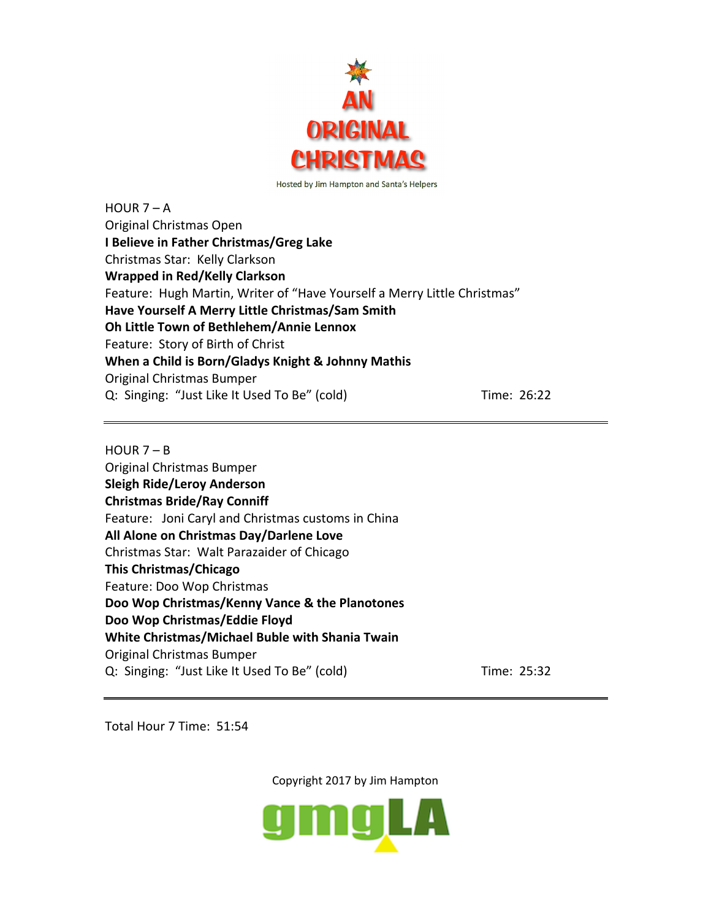

 $HOUR 7 - A$ Original Christmas Open **I Believe in Father Christmas/Greg Lake** Christmas Star: Kelly Clarkson **Wrapped in Red/Kelly Clarkson** Feature: Hugh Martin, Writer of "Have Yourself a Merry Little Christmas" **Have Yourself A Merry Little Christmas/Sam Smith Oh Little Town of Bethlehem/Annie Lennox** Feature: Story of Birth of Christ **When a Child is Born/Gladys Knight & Johnny Mathis** Original Christmas Bumper Q: Singing: "Just Like It Used To Be" (cold) Time: 26:22

 $HOUR 7 - B$ Original Christmas Bumper **Sleigh Ride/Leroy Anderson Christmas Bride/Ray Conniff** Feature: Joni Caryl and Christmas customs in China **All Alone on Christmas Day/Darlene Love** Christmas Star: Walt Parazaider of Chicago **This Christmas/Chicago** Feature: Doo Wop Christmas **Doo Wop Christmas/Kenny Vance & the Planotones Doo Wop Christmas/Eddie Floyd White Christmas/Michael Buble with Shania Twain** Original Christmas Bumper Q: Singing: "Just Like It Used To Be" (cold) Time: 25:32

Total Hour 7 Time: 51:54

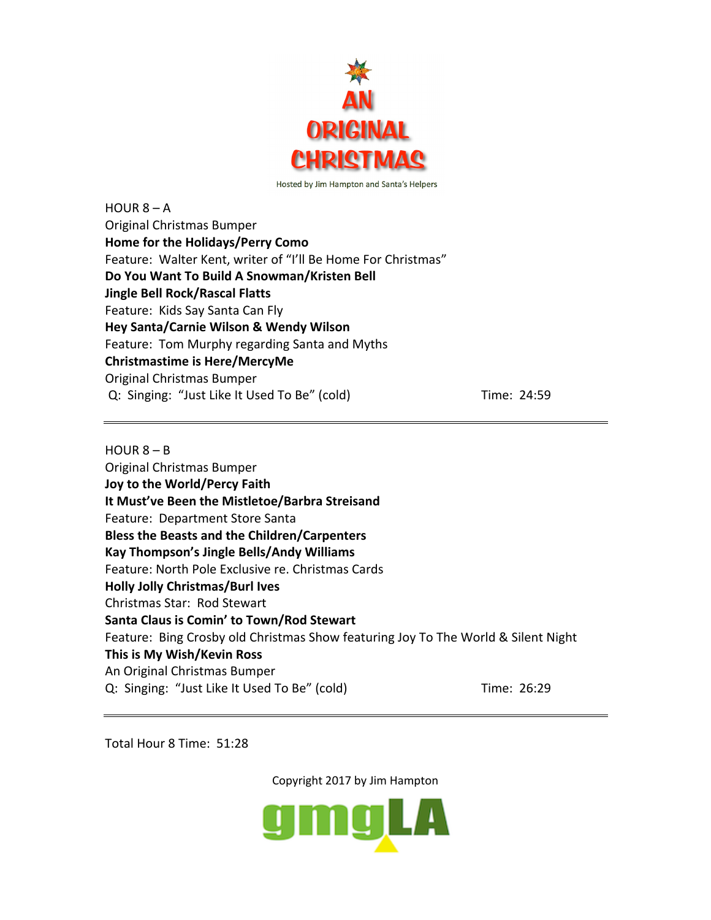

 $HOUR 8 - A$ Original Christmas Bumper **Home for the Holidays/Perry Como** Feature: Walter Kent, writer of "I'll Be Home For Christmas" **Do You Want To Build A Snowman/Kristen Bell Jingle Bell Rock/Rascal Flatts** Feature: Kids Say Santa Can Fly **Hey Santa/Carnie Wilson & Wendy Wilson** Feature: Tom Murphy regarding Santa and Myths **Christmastime is Here/MercyMe** Original Christmas Bumper Q: Singing: "Just Like It Used To Be" (cold) Time: 24:59

 $HOUR 8 - B$ Original Christmas Bumper **Joy to the World/Percy Faith It Must've Been the Mistletoe/Barbra Streisand** Feature: Department Store Santa **Bless the Beasts and the Children/Carpenters Kay Thompson's Jingle Bells/Andy Williams** Feature: North Pole Exclusive re. Christmas Cards **Holly Jolly Christmas/Burl Ives** Christmas Star: Rod Stewart **Santa Claus is Comin' to Town/Rod Stewart** Feature: Bing Crosby old Christmas Show featuring Joy To The World & Silent Night **This is My Wish/Kevin Ross** An Original Christmas Bumper Q: Singing: "Just Like It Used To Be" (cold) Time: 26:29

Total Hour 8 Time: 51:28

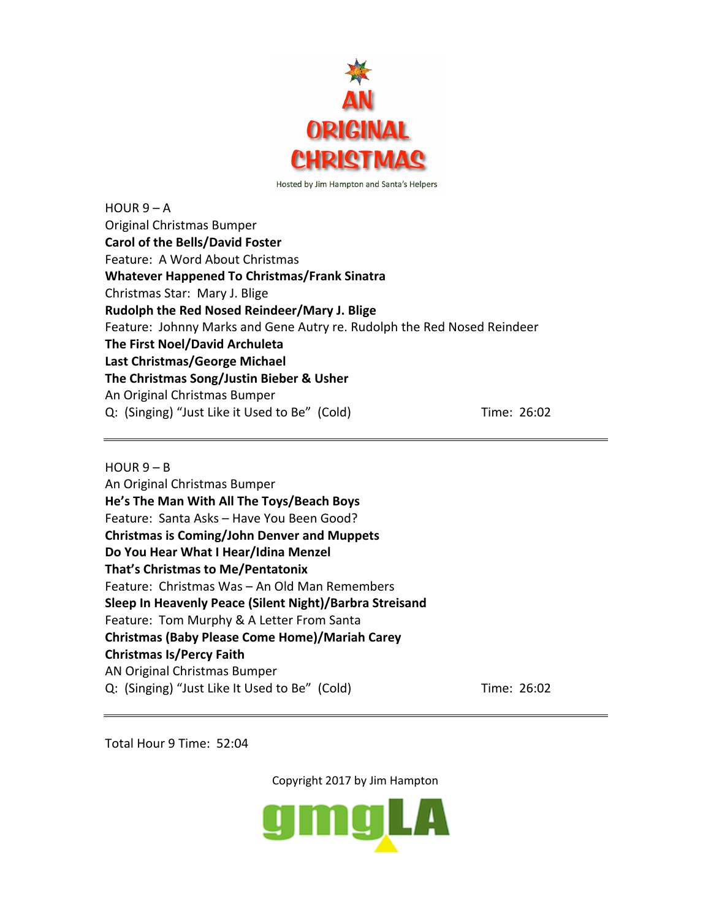

 $HOUR 9 - A$ Original Christmas Bumper **Carol of the Bells/David Foster** Feature: A Word About Christmas **Whatever Happened To Christmas/Frank Sinatra** Christmas Star: Mary J. Blige **Rudolph the Red Nosed Reindeer/Mary J. Blige** Feature: Johnny Marks and Gene Autry re. Rudolph the Red Nosed Reindeer **The First Noel/David Archuleta Last Christmas/George Michael The Christmas Song/Justin Bieber & Usher** An Original Christmas Bumper Q: (Singing) "Just Like it Used to Be" (Cold) Time: 26:02

## $HOUR 9 - B$

An Original Christmas Bumper **He's The Man With All The Toys/Beach Boys** Feature: Santa Asks – Have You Been Good? **Christmas is Coming/John Denver and Muppets Do You Hear What I Hear/Idina Menzel That's Christmas to Me/Pentatonix** Feature: Christmas Was – An Old Man Remembers **Sleep In Heavenly Peace (Silent Night)/Barbra Streisand** Feature: Tom Murphy & A Letter From Santa **Christmas (Baby Please Come Home)/Mariah Carey Christmas Is/Percy Faith** AN Original Christmas Bumper Q: (Singing) "Just Like It Used to Be" (Cold) Time: 26:02

Total Hour 9 Time: 52:04

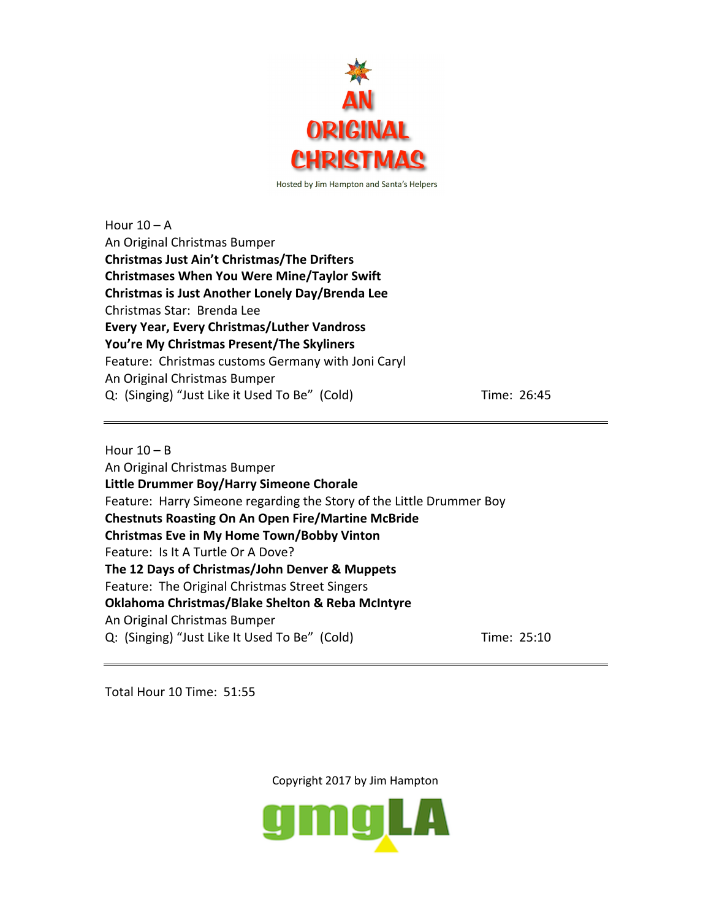

Hour  $10 - A$ An Original Christmas Bumper **Christmas Just Ain't Christmas/The Drifters Christmases When You Were Mine/Taylor Swift Christmas is Just Another Lonely Day/Brenda Lee** Christmas Star: Brenda Lee **Every Year, Every Christmas/Luther Vandross You're My Christmas Present/The Skyliners** Feature: Christmas customs Germany with Joni Caryl An Original Christmas Bumper Q: (Singing) "Just Like it Used To Be" (Cold) Time: 26:45

Hour  $10 - B$ An Original Christmas Bumper **Little Drummer Boy/Harry Simeone Chorale** Feature: Harry Simeone regarding the Story of the Little Drummer Boy **Chestnuts Roasting On An Open Fire/Martine McBride Christmas Eve in My Home Town/Bobby Vinton** Feature: Is It A Turtle Or A Dove? **The 12 Days of Christmas/John Denver & Muppets** Feature: The Original Christmas Street Singers **Oklahoma Christmas/Blake Shelton & Reba McIntyre** An Original Christmas Bumper Q: (Singing) "Just Like It Used To Be" (Cold) Time: 25:10

Total Hour 10 Time: 51:55

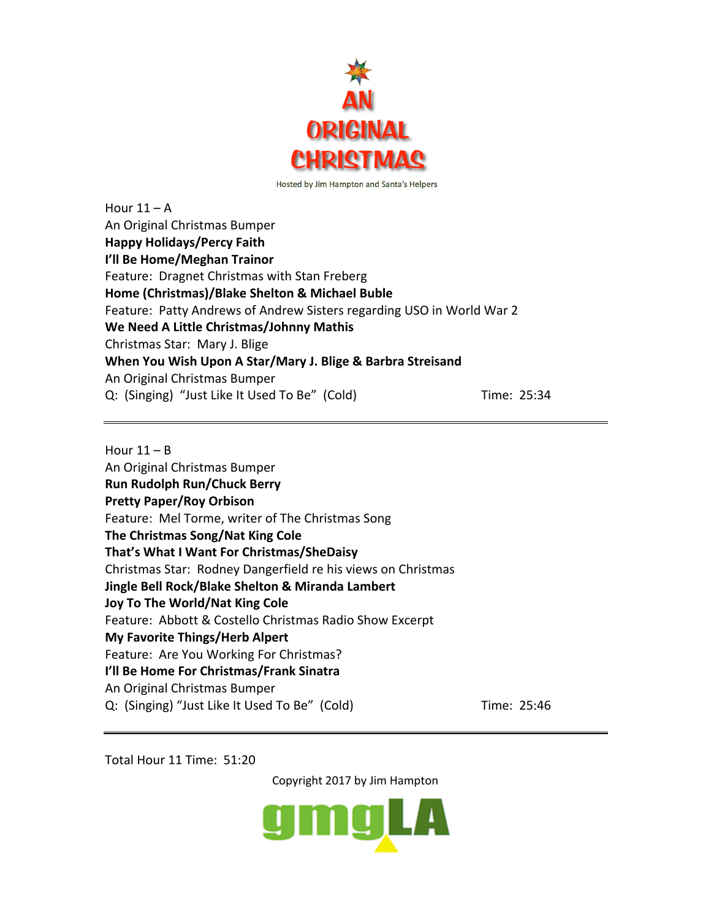

Hour  $11 - A$ An Original Christmas Bumper **Happy Holidays/Percy Faith I'll Be Home/Meghan Trainor** Feature: Dragnet Christmas with Stan Freberg **Home (Christmas)/Blake Shelton & Michael Buble** Feature: Patty Andrews of Andrew Sisters regarding USO in World War 2 **We Need A Little Christmas/Johnny Mathis** Christmas Star: Mary J. Blige **When You Wish Upon A Star/Mary J. Blige & Barbra Streisand** An Original Christmas Bumper Q: (Singing) "Just Like It Used To Be" (Cold) Time: 25:34

Hour  $11 - B$ An Original Christmas Bumper **Run Rudolph Run/Chuck Berry Pretty Paper/Roy Orbison** Feature: Mel Torme, writer of The Christmas Song **The Christmas Song/Nat King Cole That's What I Want For Christmas/SheDaisy** Christmas Star: Rodney Dangerfield re his views on Christmas **Jingle Bell Rock/Blake Shelton & Miranda Lambert Joy To The World/Nat King Cole** Feature: Abbott & Costello Christmas Radio Show Excerpt **My Favorite Things/Herb Alpert** Feature: Are You Working For Christmas? **I'll Be Home For Christmas/Frank Sinatra** An Original Christmas Bumper Q: (Singing) "Just Like It Used To Be" (Cold) Time: 25:46

Total Hour 11 Time: 51:20

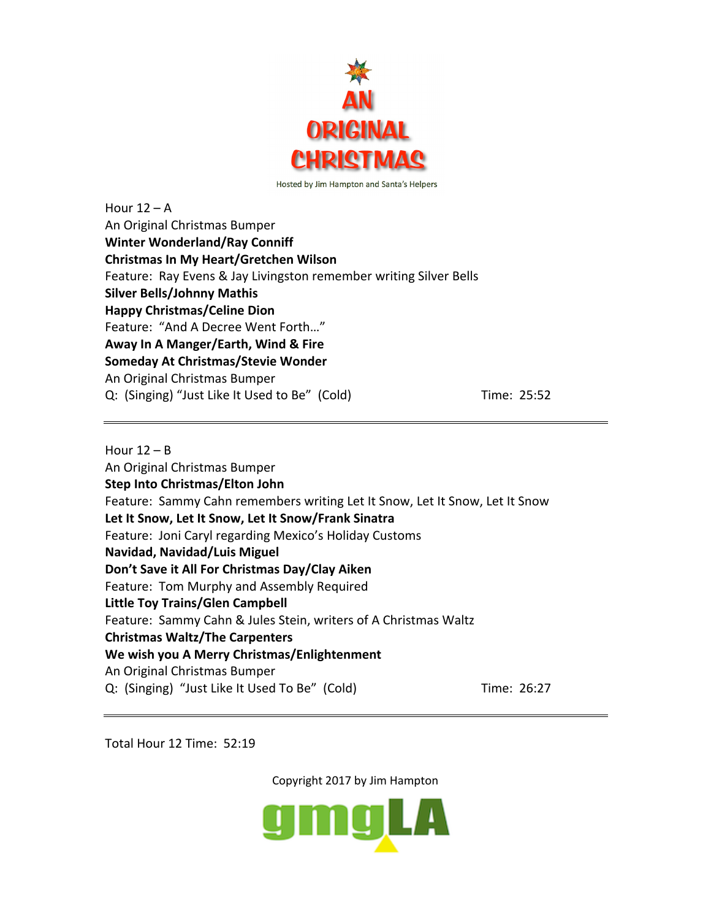

Hour  $12 - A$ An Original Christmas Bumper **Winter Wonderland/Ray Conniff Christmas In My Heart/Gretchen Wilson** Feature: Ray Evens & Jay Livingston remember writing Silver Bells **Silver Bells/Johnny Mathis Happy Christmas/Celine Dion** Feature: "And A Decree Went Forth…" **Away In A Manger/Earth, Wind & Fire Someday At Christmas/Stevie Wonder** An Original Christmas Bumper Q: (Singing) "Just Like It Used to Be" (Cold) Time: 25:52

Hour  $12 - B$ An Original Christmas Bumper **Step Into Christmas/Elton John** Feature: Sammy Cahn remembers writing Let It Snow, Let It Snow, Let It Snow **Let It Snow, Let It Snow, Let It Snow/Frank Sinatra** Feature: Joni Caryl regarding Mexico's Holiday Customs **Navidad, Navidad/Luis Miguel Don't Save it All For Christmas Day/Clay Aiken** Feature: Tom Murphy and Assembly Required **Little Toy Trains/Glen Campbell** Feature: Sammy Cahn & Jules Stein, writers of A Christmas Waltz **Christmas Waltz/The Carpenters We wish you A Merry Christmas/Enlightenment** An Original Christmas Bumper Q: (Singing) "Just Like It Used To Be" (Cold) Time: 26:27

Total Hour 12 Time: 52:19

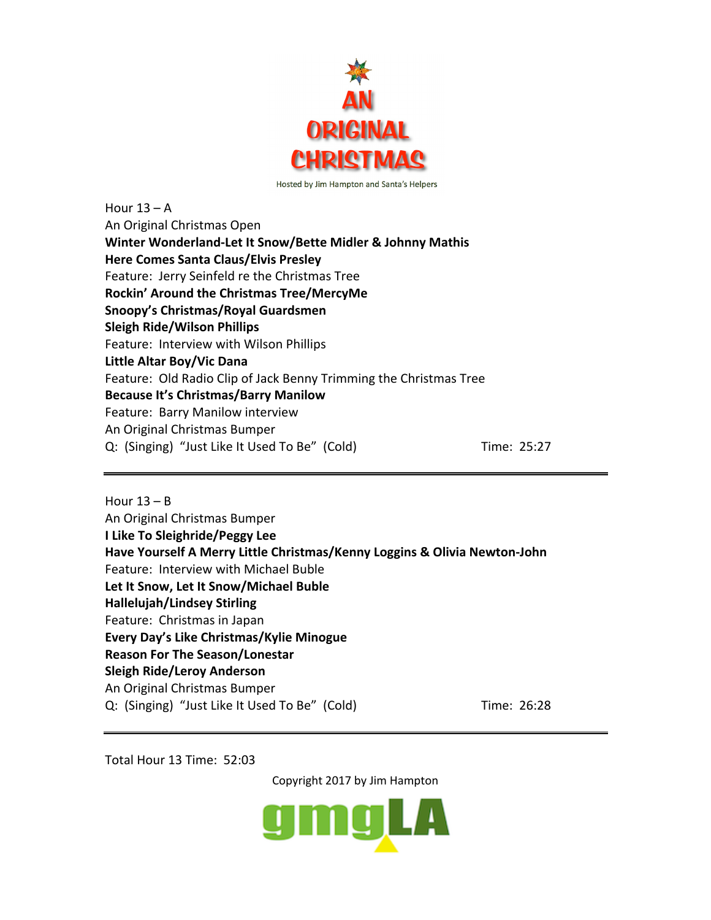

Hour  $13 - A$ An Original Christmas Open **Winter Wonderland-Let It Snow/Bette Midler & Johnny Mathis Here Comes Santa Claus/Elvis Presley** Feature: Jerry Seinfeld re the Christmas Tree **Rockin' Around the Christmas Tree/MercyMe Snoopy's Christmas/Royal Guardsmen Sleigh Ride/Wilson Phillips** Feature: Interview with Wilson Phillips **Little Altar Boy/Vic Dana** Feature: Old Radio Clip of Jack Benny Trimming the Christmas Tree **Because It's Christmas/Barry Manilow** Feature: Barry Manilow interview An Original Christmas Bumper Q: (Singing) "Just Like It Used To Be" (Cold) Time: 25:27

Hour  $13 - B$ An Original Christmas Bumper **I Like To Sleighride/Peggy Lee Have Yourself A Merry Little Christmas/Kenny Loggins & Olivia Newton-John** Feature: Interview with Michael Buble **Let It Snow, Let It Snow/Michael Buble Hallelujah/Lindsey Stirling** Feature: Christmas in Japan **Every Day's Like Christmas/Kylie Minogue Reason For The Season/Lonestar Sleigh Ride/Leroy Anderson** An Original Christmas Bumper Q: (Singing) "Just Like It Used To Be" (Cold) Time: 26:28

Total Hour 13 Time: 52:03

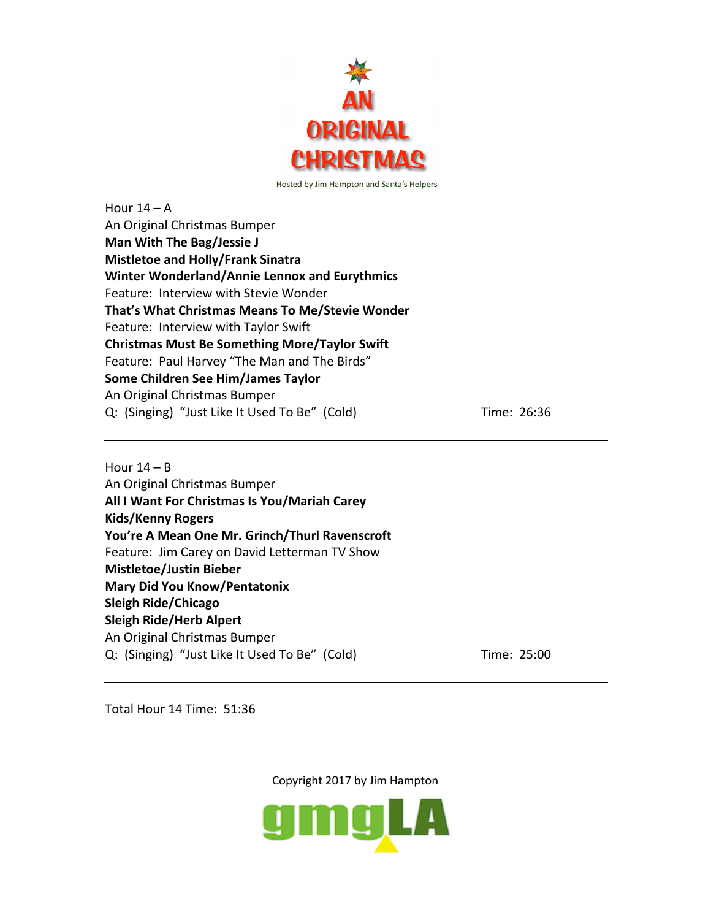

Hour  $14 - A$ An Original Christmas Bumper **Man With The Bag/Jessie J Mistletoe and Holly/Frank Sinatra Winter Wonderland/Annie Lennox and Eurythmics** Feature: Interview with Stevie Wonder **That's What Christmas Means To Me/Stevie Wonder** Feature: Interview with Taylor Swift **Christmas Must Be Something More/Taylor Swift** Feature: Paul Harvey "The Man and The Birds" **Some Children See Him/James Taylor** An Original Christmas Bumper Q: (Singing) "Just Like It Used To Be" (Cold) Time: 26:36

Hour  $14 - B$ An Original Christmas Bumper **All I Want For Christmas Is You/Mariah Carey Kids/Kenny Rogers You're A Mean One Mr. Grinch/Thurl Ravenscroft** Feature: Jim Carey on David Letterman TV Show **Mistletoe/Justin Bieber Mary Did You Know/Pentatonix Sleigh Ride/Chicago Sleigh Ride/Herb Alpert** An Original Christmas Bumper Q: (Singing) "Just Like It Used To Be" (Cold) Time: 25:00

Total Hour 14 Time: 51:36

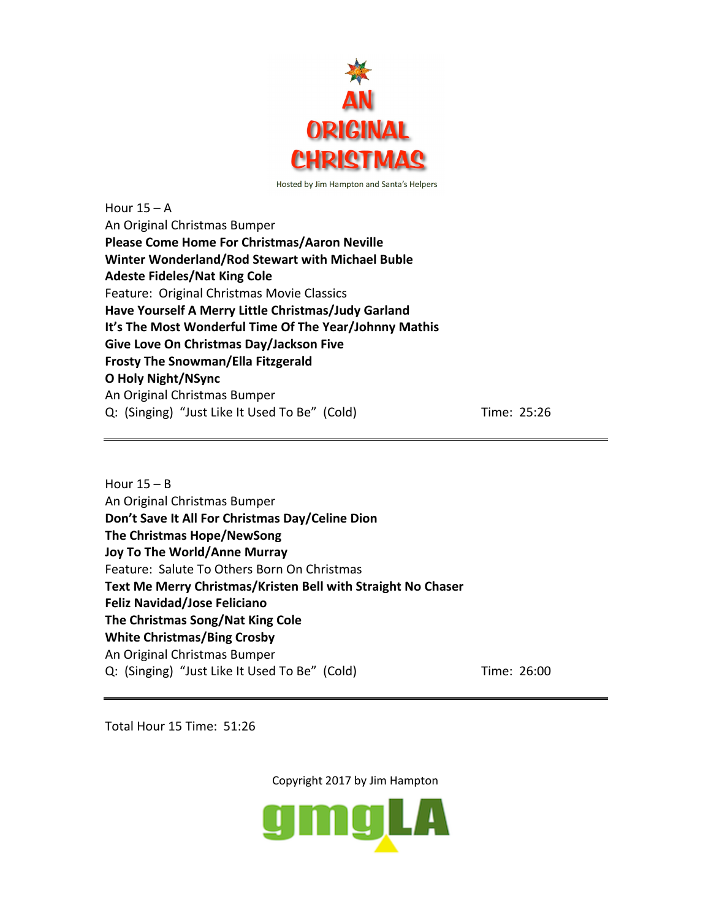

Hour  $15 - A$ An Original Christmas Bumper **Please Come Home For Christmas/Aaron Neville Winter Wonderland/Rod Stewart with Michael Buble Adeste Fideles/Nat King Cole** Feature: Original Christmas Movie Classics **Have Yourself A Merry Little Christmas/Judy Garland It's The Most Wonderful Time Of The Year/Johnny Mathis Give Love On Christmas Day/Jackson Five Frosty The Snowman/Ella Fitzgerald O Holy Night/NSync** An Original Christmas Bumper Q: (Singing) "Just Like It Used To Be" (Cold) Time: 25:26

Hour  $15 - B$ An Original Christmas Bumper **Don't Save It All For Christmas Day/Celine Dion The Christmas Hope/NewSong Joy To The World/Anne Murray** Feature: Salute To Others Born On Christmas **Text Me Merry Christmas/Kristen Bell with Straight No Chaser Feliz Navidad/Jose Feliciano The Christmas Song/Nat King Cole White Christmas/Bing Crosby** An Original Christmas Bumper Q: (Singing) "Just Like It Used To Be" (Cold) Time: 26:00

Total Hour 15 Time: 51:26

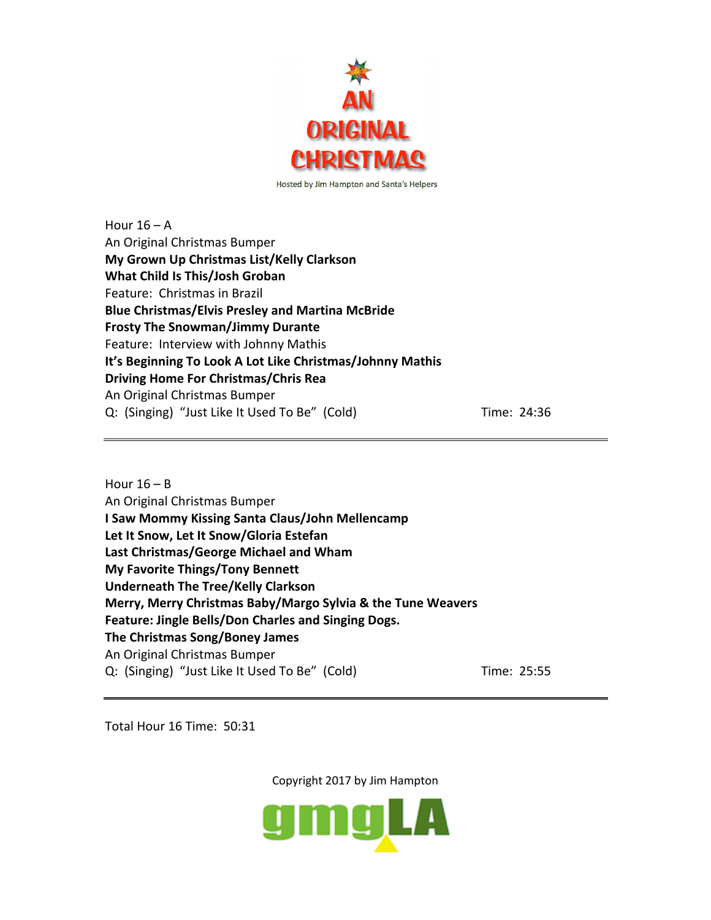

Hour  $16 - A$ An Original Christmas Bumper **My Grown Up Christmas List/Kelly Clarkson What Child Is This/Josh Groban** Feature: Christmas in Brazil **Blue Christmas/Elvis Presley and Martina McBride Frosty The Snowman/Jimmy Durante** Feature: Interview with Johnny Mathis **It's Beginning To Look A Lot Like Christmas/Johnny Mathis Driving Home For Christmas/Chris Rea** An Original Christmas Bumper Q: (Singing) "Just Like It Used To Be" (Cold) Time: 24:36

Hour  $16 - B$ An Original Christmas Bumper **I Saw Mommy Kissing Santa Claus/John Mellencamp Let It Snow, Let It Snow/Gloria Estefan Last Christmas/George Michael and Wham My Favorite Things/Tony Bennett Underneath The Tree/Kelly Clarkson Merry, Merry Christmas Baby/Margo Sylvia & the Tune Weavers Feature: Jingle Bells/Don Charles and Singing Dogs. The Christmas Song/Boney James** An Original Christmas Bumper Q: (Singing) "Just Like It Used To Be" (Cold) Time: 25:55

Total Hour 16 Time: 50:31

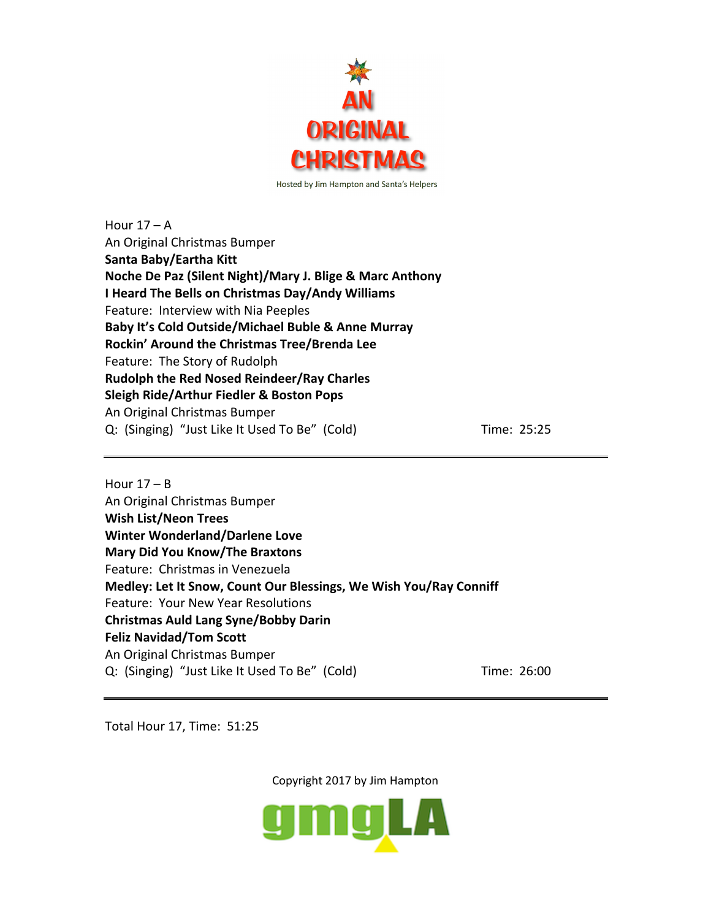

Hour  $17 - A$ An Original Christmas Bumper **Santa Baby/Eartha Kitt Noche De Paz (Silent Night)/Mary J. Blige & Marc Anthony I Heard The Bells on Christmas Day/Andy Williams** Feature: Interview with Nia Peeples **Baby It's Cold Outside/Michael Buble & Anne Murray Rockin' Around the Christmas Tree/Brenda Lee** Feature: The Story of Rudolph **Rudolph the Red Nosed Reindeer/Ray Charles Sleigh Ride/Arthur Fiedler & Boston Pops** An Original Christmas Bumper Q: (Singing) "Just Like It Used To Be" (Cold) Time: 25:25

Hour  $17 - B$ An Original Christmas Bumper **Wish List/Neon Trees Winter Wonderland/Darlene Love Mary Did You Know/The Braxtons** Feature: Christmas in Venezuela **Medley: Let It Snow, Count Our Blessings, We Wish You/Ray Conniff** Feature: Your New Year Resolutions **Christmas Auld Lang Syne/Bobby Darin Feliz Navidad/Tom Scott** An Original Christmas Bumper Q: (Singing) "Just Like It Used To Be" (Cold) Time: 26:00

Total Hour 17, Time: 51:25

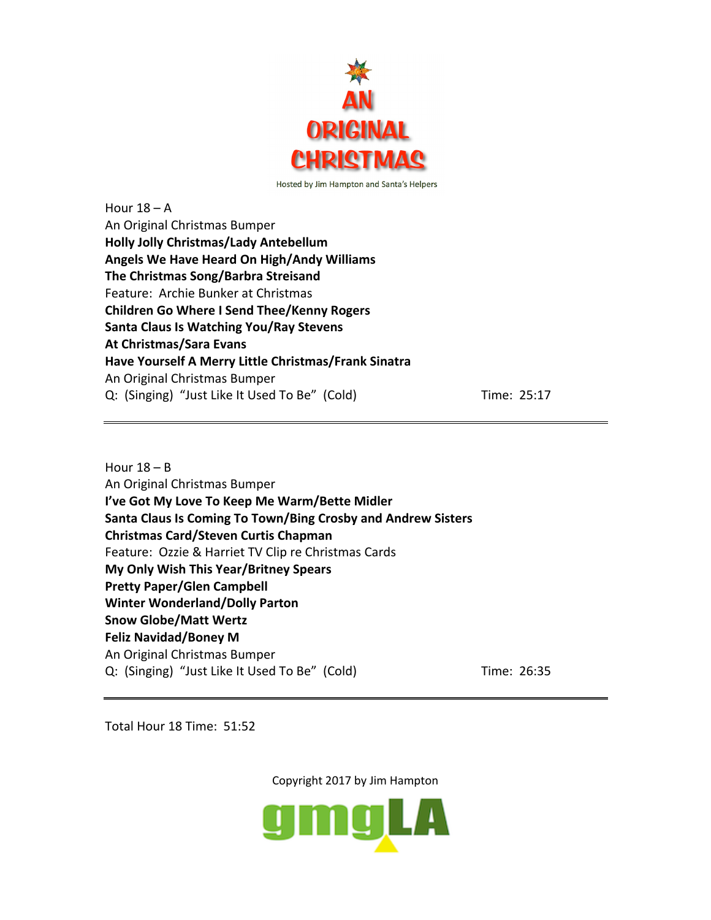

Hour  $18 - A$ An Original Christmas Bumper **Holly Jolly Christmas/Lady Antebellum Angels We Have Heard On High/Andy Williams The Christmas Song/Barbra Streisand** Feature: Archie Bunker at Christmas **Children Go Where I Send Thee/Kenny Rogers Santa Claus Is Watching You/Ray Stevens At Christmas/Sara Evans Have Yourself A Merry Little Christmas/Frank Sinatra** An Original Christmas Bumper Q: (Singing) "Just Like It Used To Be" (Cold) Time: 25:17

Hour  $18 - B$ An Original Christmas Bumper **I've Got My Love To Keep Me Warm/Bette Midler Santa Claus Is Coming To Town/Bing Crosby and Andrew Sisters Christmas Card/Steven Curtis Chapman** Feature: Ozzie & Harriet TV Clip re Christmas Cards **My Only Wish This Year/Britney Spears Pretty Paper/Glen Campbell Winter Wonderland/Dolly Parton Snow Globe/Matt Wertz Feliz Navidad/Boney M** An Original Christmas Bumper Q: (Singing) "Just Like It Used To Be" (Cold) Time: 26:35

Total Hour 18 Time: 51:52

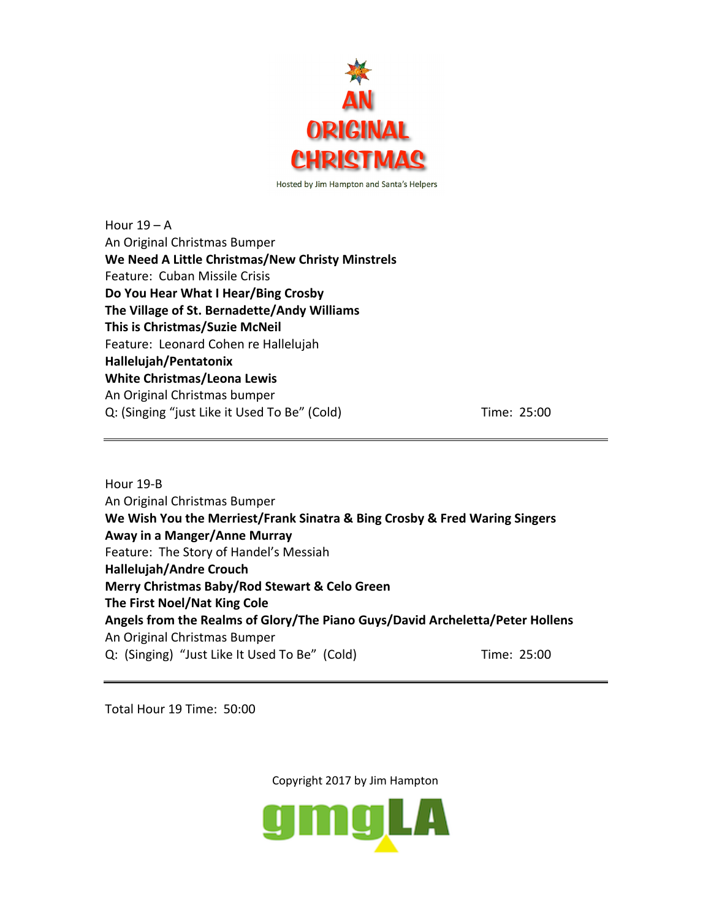

Hour  $19 - A$ An Original Christmas Bumper **We Need A Little Christmas/New Christy Minstrels** Feature: Cuban Missile Crisis **Do You Hear What I Hear/Bing Crosby The Village of St. Bernadette/Andy Williams This is Christmas/Suzie McNeil** Feature: Leonard Cohen re Hallelujah **Hallelujah/Pentatonix White Christmas/Leona Lewis** An Original Christmas bumper Q: (Singing "just Like it Used To Be" (Cold) Time: 25:00

Hour 19-B An Original Christmas Bumper **We Wish You the Merriest/Frank Sinatra & Bing Crosby & Fred Waring Singers Away in a Manger/Anne Murray** Feature: The Story of Handel's Messiah **Hallelujah/Andre Crouch Merry Christmas Baby/Rod Stewart & Celo Green The First Noel/Nat King Cole Angels from the Realms of Glory/The Piano Guys/David Archeletta/Peter Hollens** An Original Christmas Bumper Q: (Singing) "Just Like It Used To Be" (Cold) Time: 25:00

Total Hour 19 Time: 50:00

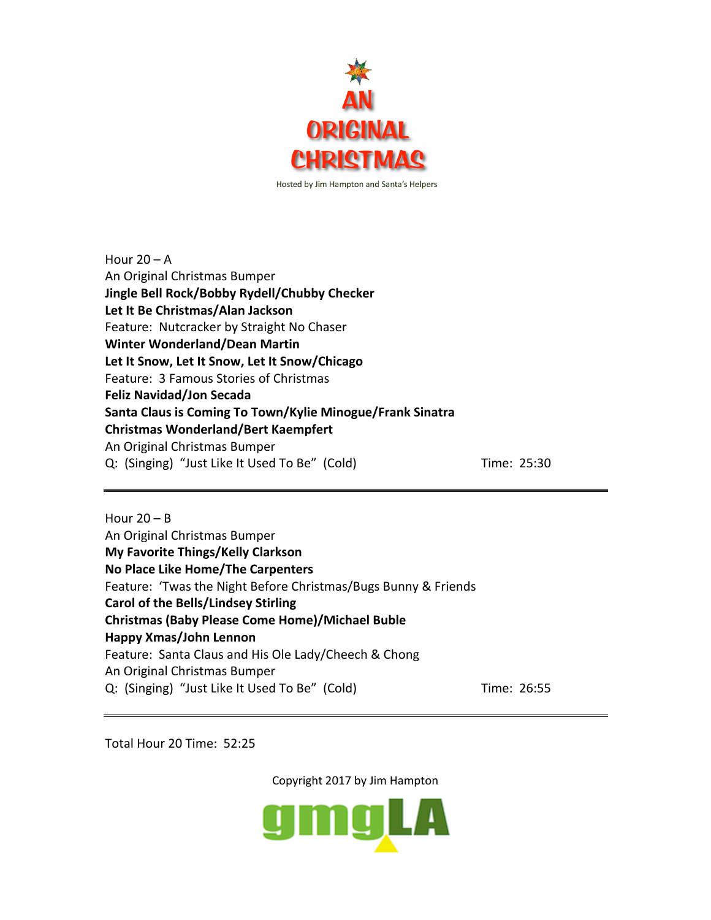

Hour  $20 - A$ An Original Christmas Bumper **Jingle Bell Rock/Bobby Rydell/Chubby Checker Let It Be Christmas/Alan Jackson** Feature: Nutcracker by Straight No Chaser **Winter Wonderland/Dean Martin Let It Snow, Let It Snow, Let It Snow/Chicago** Feature: 3 Famous Stories of Christmas **Feliz Navidad/Jon Secada Santa Claus is Coming To Town/Kylie Minogue/Frank Sinatra Christmas Wonderland/Bert Kaempfert** An Original Christmas Bumper Q: (Singing) "Just Like It Used To Be" (Cold) Time: 25:30

Hour  $20 - B$ An Original Christmas Bumper **My Favorite Things/Kelly Clarkson No Place Like Home/The Carpenters** Feature: 'Twas the Night Before Christmas/Bugs Bunny & Friends **Carol of the Bells/Lindsey Stirling Christmas (Baby Please Come Home)/Michael Buble Happy Xmas/John Lennon** Feature: Santa Claus and His Ole Lady/Cheech & Chong An Original Christmas Bumper Q: (Singing) "Just Like It Used To Be" (Cold) Time: 26:55

Total Hour 20 Time: 52:25

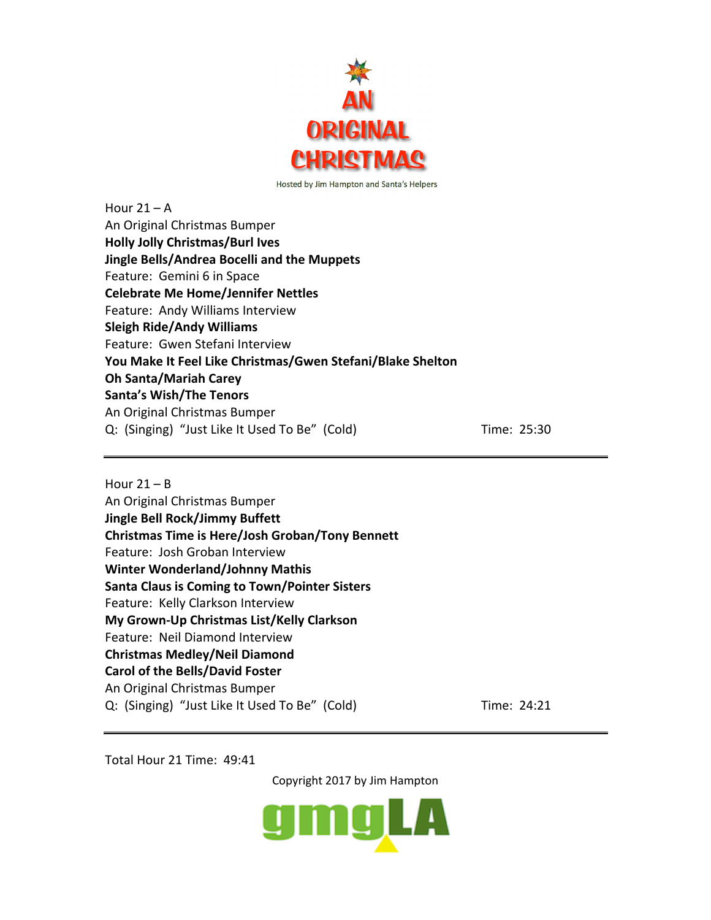

Hour  $21 - A$ An Original Christmas Bumper **Holly Jolly Christmas/Burl Ives Jingle Bells/Andrea Bocelli and the Muppets** Feature: Gemini 6 in Space **Celebrate Me Home/Jennifer Nettles** Feature: Andy Williams Interview **Sleigh Ride/Andy Williams** Feature: Gwen Stefani Interview **You Make It Feel Like Christmas/Gwen Stefani/Blake Shelton Oh Santa/Mariah Carey Santa's Wish/The Tenors** An Original Christmas Bumper Q: (Singing) "Just Like It Used To Be" (Cold) Time: 25:30

Hour  $21 - B$ An Original Christmas Bumper **Jingle Bell Rock/Jimmy Buffett Christmas Time is Here/Josh Groban/Tony Bennett** Feature: Josh Groban Interview **Winter Wonderland/Johnny Mathis Santa Claus is Coming to Town/Pointer Sisters** Feature: Kelly Clarkson Interview **My Grown-Up Christmas List/Kelly Clarkson** Feature: Neil Diamond Interview **Christmas Medley/Neil Diamond Carol of the Bells/David Foster** An Original Christmas Bumper Q: (Singing) "Just Like It Used To Be" (Cold) Time: 24:21

Total Hour 21 Time: 49:41

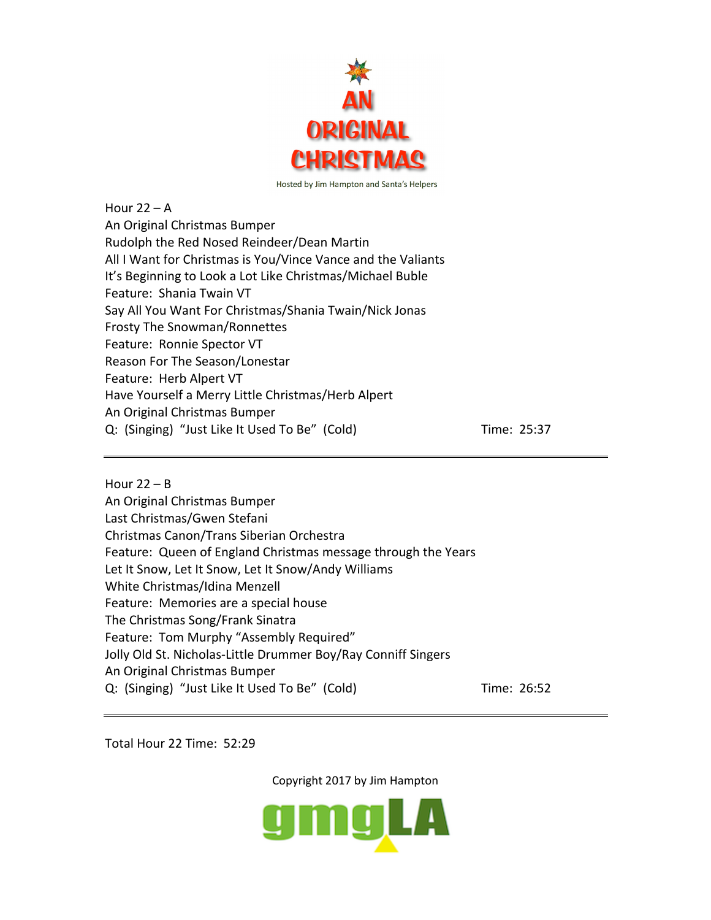

Hour  $22 - A$ An Original Christmas Bumper Rudolph the Red Nosed Reindeer/Dean Martin All I Want for Christmas is You/Vince Vance and the Valiants It's Beginning to Look a Lot Like Christmas/Michael Buble Feature: Shania Twain VT Say All You Want For Christmas/Shania Twain/Nick Jonas Frosty The Snowman/Ronnettes Feature: Ronnie Spector VT Reason For The Season/Lonestar Feature: Herb Alpert VT Have Yourself a Merry Little Christmas/Herb Alpert An Original Christmas Bumper Q: (Singing) "Just Like It Used To Be" (Cold) Time: 25:37

Hour  $22 - B$ An Original Christmas Bumper Last Christmas/Gwen Stefani Christmas Canon/Trans Siberian Orchestra Feature: Queen of England Christmas message through the Years Let It Snow, Let It Snow, Let It Snow/Andy Williams White Christmas/Idina Menzell Feature: Memories are a special house The Christmas Song/Frank Sinatra Feature: Tom Murphy "Assembly Required" Jolly Old St. Nicholas-Little Drummer Boy/Ray Conniff Singers An Original Christmas Bumper Q: (Singing) "Just Like It Used To Be" (Cold) Time: 26:52

Total Hour 22 Time: 52:29

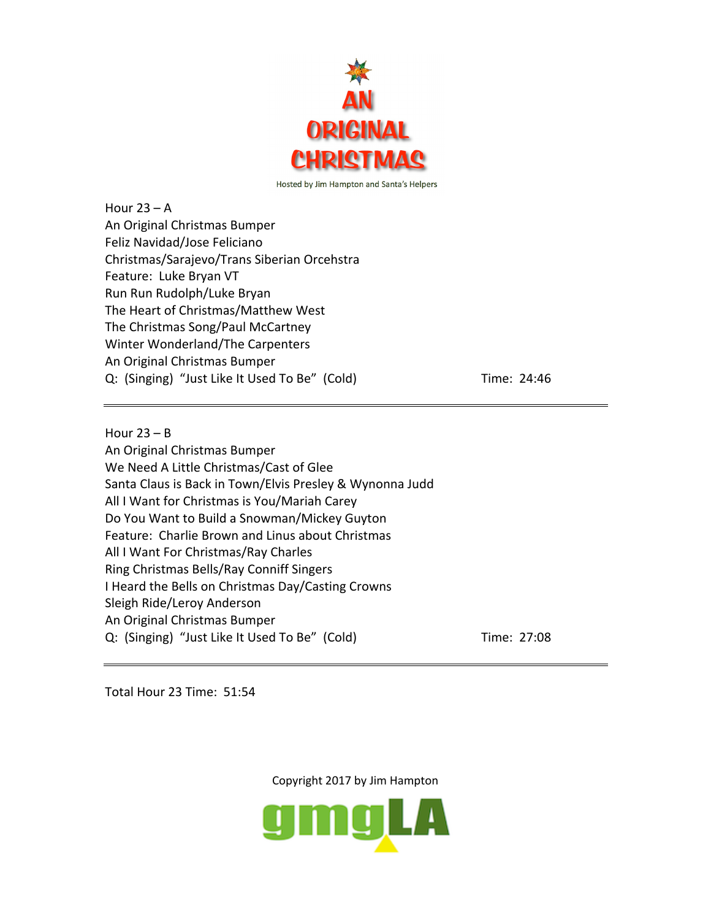

Hour  $23 - A$ An Original Christmas Bumper Feliz Navidad/Jose Feliciano Christmas/Sarajevo/Trans Siberian Orcehstra Feature: Luke Bryan VT Run Run Rudolph/Luke Bryan The Heart of Christmas/Matthew West The Christmas Song/Paul McCartney Winter Wonderland/The Carpenters An Original Christmas Bumper Q: (Singing) "Just Like It Used To Be" (Cold) Time: 24:46

Hour  $23 - B$ An Original Christmas Bumper We Need A Little Christmas/Cast of Glee Santa Claus is Back in Town/Elvis Presley & Wynonna Judd All I Want for Christmas is You/Mariah Carey Do You Want to Build a Snowman/Mickey Guyton Feature: Charlie Brown and Linus about Christmas All I Want For Christmas/Ray Charles Ring Christmas Bells/Ray Conniff Singers I Heard the Bells on Christmas Day/Casting Crowns Sleigh Ride/Leroy Anderson An Original Christmas Bumper Q: (Singing) "Just Like It Used To Be" (Cold) Time: 27:08

Total Hour 23 Time: 51:54